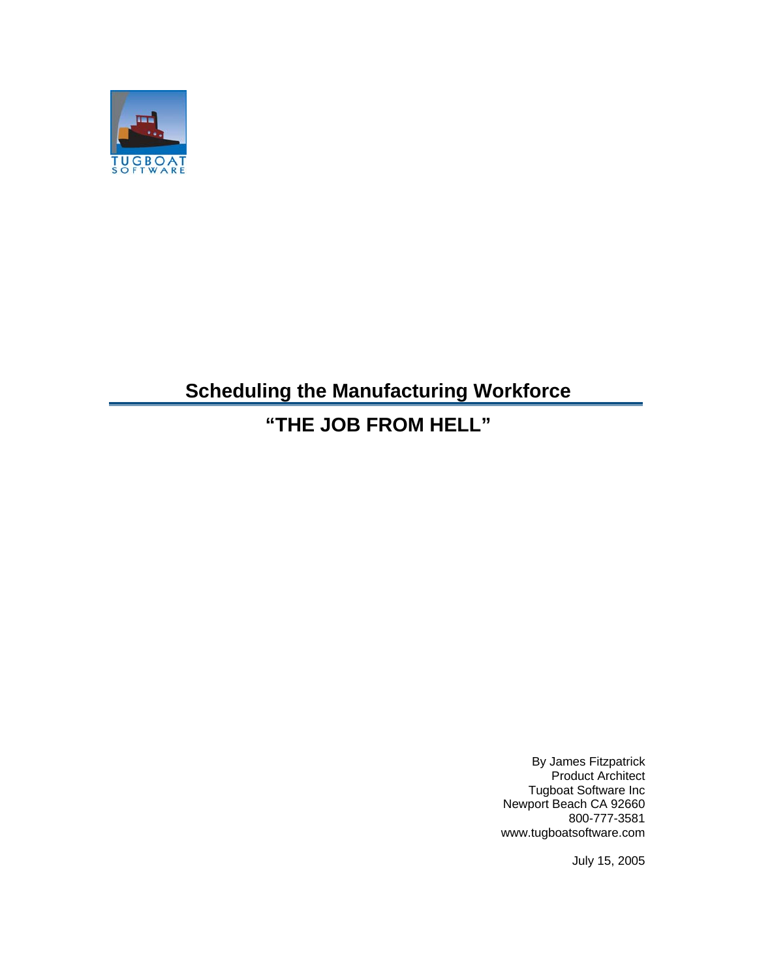

## **Scheduling the Manufacturing Workforce**

## **"THE JOB FROM HELL"**

By James Fitzpatrick Product Architect Tugboat Software Inc Newport Beach CA 92660 800-777-3581 www.tugboatsoftware.com

July 15, 2005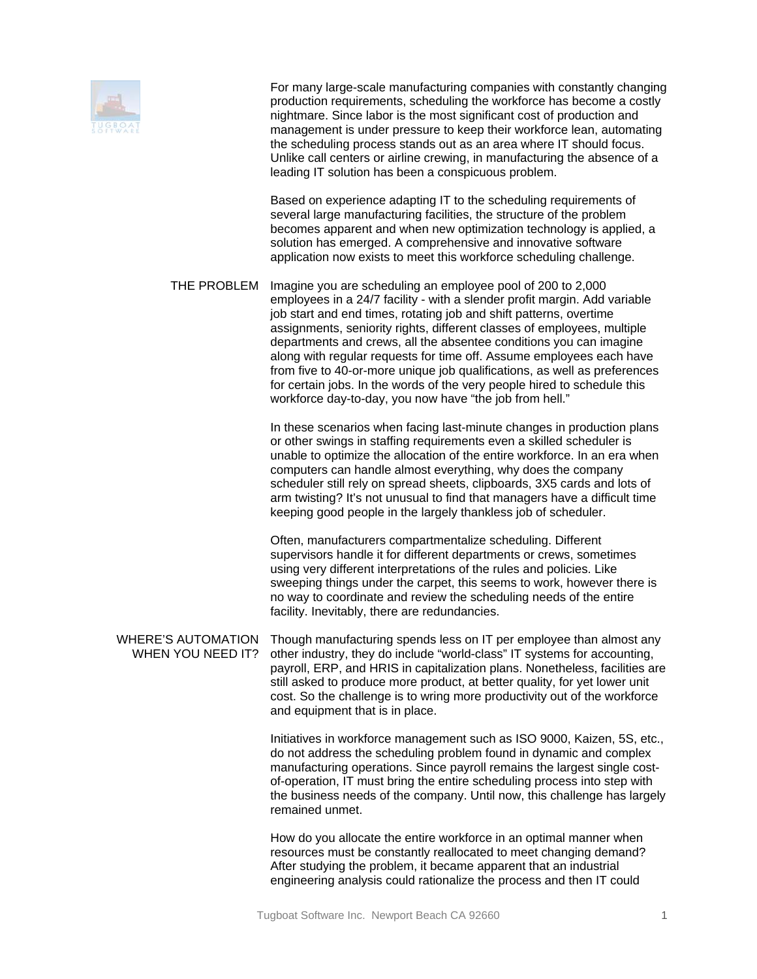

For many large-scale manufacturing companies with constantly changing production requirements, scheduling the workforce has become a costly nightmare. Since labor is the most significant cost of production and management is under pressure to keep their workforce lean, automating the scheduling process stands out as an area where IT should focus. Unlike call centers or airline crewing, in manufacturing the absence of a leading IT solution has been a conspicuous problem.

Based on experience adapting IT to the scheduling requirements of several large manufacturing facilities, the structure of the problem becomes apparent and when new optimization technology is applied, a solution has emerged. A comprehensive and innovative software application now exists to meet this workforce scheduling challenge.

THE PROBLEM Imagine you are scheduling an employee pool of 200 to 2,000 employees in a 24/7 facility - with a slender profit margin. Add variable job start and end times, rotating job and shift patterns, overtime assignments, seniority rights, different classes of employees, multiple departments and crews, all the absentee conditions you can imagine along with regular requests for time off. Assume employees each have from five to 40-or-more unique job qualifications, as well as preferences for certain jobs. In the words of the very people hired to schedule this workforce day-to-day, you now have "the job from hell."

> In these scenarios when facing last-minute changes in production plans or other swings in staffing requirements even a skilled scheduler is unable to optimize the allocation of the entire workforce. In an era when computers can handle almost everything, why does the company scheduler still rely on spread sheets, clipboards, 3X5 cards and lots of arm twisting? It's not unusual to find that managers have a difficult time keeping good people in the largely thankless job of scheduler.

> Often, manufacturers compartmentalize scheduling. Different supervisors handle it for different departments or crews, sometimes using very different interpretations of the rules and policies. Like sweeping things under the carpet, this seems to work, however there is no way to coordinate and review the scheduling needs of the entire facility. Inevitably, there are redundancies.

WHERE'S AUTOMATION Though manufacturing spends less on IT per employee than almost any WHEN YOU NEED IT? other industry, they do include "world-class" IT systems for accounting, payroll, ERP, and HRIS in capitalization plans. Nonetheless, facilities are still asked to produce more product, at better quality, for yet lower unit cost. So the challenge is to wring more productivity out of the workforce and equipment that is in place.

> Initiatives in workforce management such as ISO 9000, Kaizen, 5S, etc., do not address the scheduling problem found in dynamic and complex manufacturing operations. Since payroll remains the largest single costof-operation, IT must bring the entire scheduling process into step with the business needs of the company. Until now, this challenge has largely remained unmet.

How do you allocate the entire workforce in an optimal manner when resources must be constantly reallocated to meet changing demand? After studying the problem, it became apparent that an industrial engineering analysis could rationalize the process and then IT could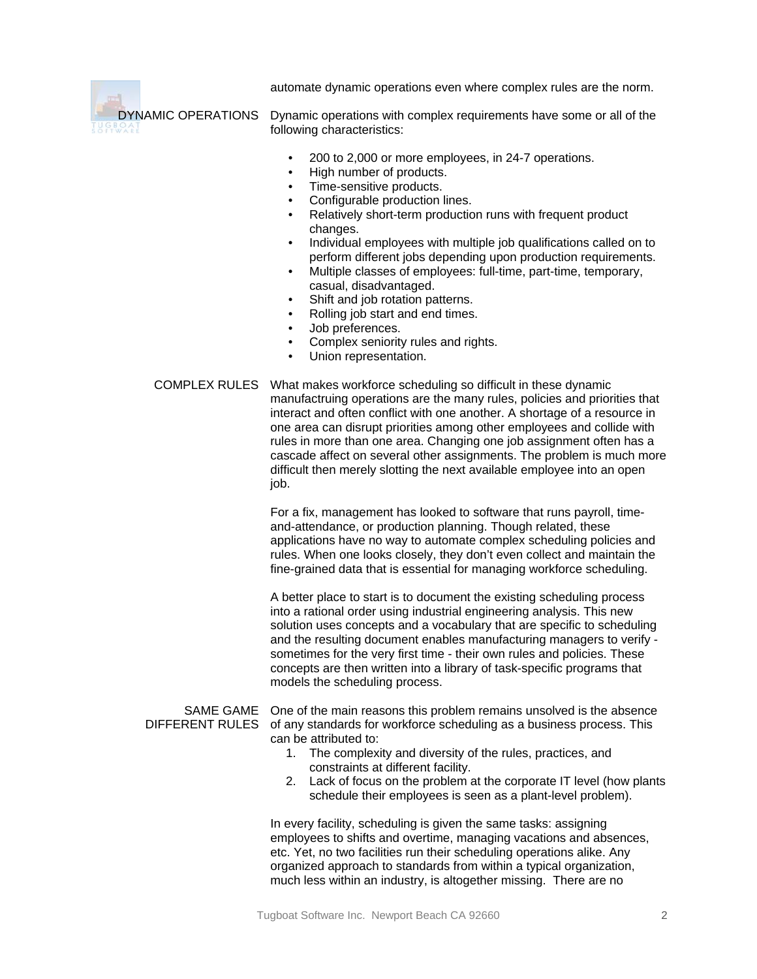automate dynamic operations even where complex rules are the norm.

YNAMIC OPERATIONS Dynamic operations with complex requirements have some or all of the following characteristics:

- 200 to 2,000 or more employees, in 24-7 operations.
- High number of products.
- Time-sensitive products.
- Configurable production lines.
- Relatively short-term production runs with frequent product changes.
- Individual employees with multiple job qualifications called on to perform different jobs depending upon production requirements.
- Multiple classes of employees: full-time, part-time, temporary, casual, disadvantaged.
- Shift and job rotation patterns.
- Rolling job start and end times.
- Job preferences.
- Complex seniority rules and rights.
- Union representation.

COMPLEX RULES What makes workforce scheduling so difficult in these dynamic manufactruing operations are the many rules, policies and priorities that interact and often conflict with one another. A shortage of a resource in one area can disrupt priorities among other employees and collide with rules in more than one area. Changing one job assignment often has a cascade affect on several other assignments. The problem is much more difficult then merely slotting the next available employee into an open job.

> For a fix, management has looked to software that runs payroll, timeand-attendance, or production planning. Though related, these applications have no way to automate complex scheduling policies and rules. When one looks closely, they don't even collect and maintain the fine-grained data that is essential for managing workforce scheduling.

> A better place to start is to document the existing scheduling process into a rational order using industrial engineering analysis. This new solution uses concepts and a vocabulary that are specific to scheduling and the resulting document enables manufacturing managers to verify sometimes for the very first time - their own rules and policies. These concepts are then written into a library of task-specific programs that models the scheduling process.

SAME GAME One of the main reasons this problem remains unsolved is the absence DIFFERENT RULES of any standards for workforce scheduling as a business process. This can be attributed to:

- 1. The complexity and diversity of the rules, practices, and constraints at different facility.
- 2. Lack of focus on the problem at the corporate IT level (how plants schedule their employees is seen as a plant-level problem).

In every facility, scheduling is given the same tasks: assigning employees to shifts and overtime, managing vacations and absences, etc. Yet, no two facilities run their scheduling operations alike. Any organized approach to standards from within a typical organization, much less within an industry, is altogether missing. There are no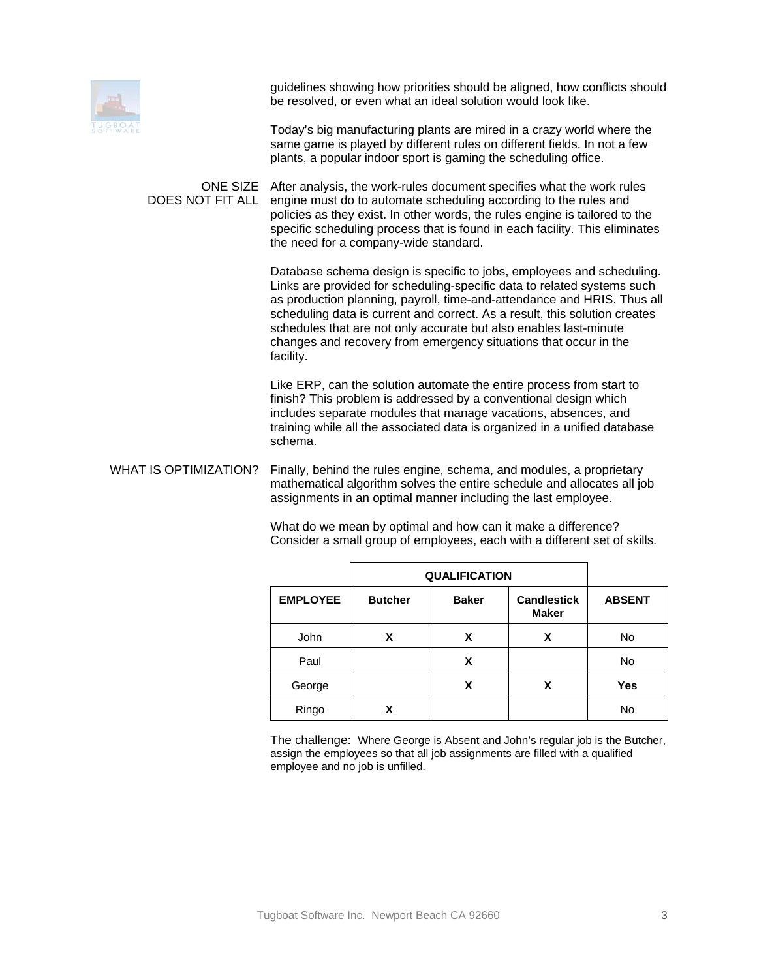

guidelines showing how priorities should be aligned, how conflicts should be resolved, or even what an ideal solution would look like.

Today's big manufacturing plants are mired in a crazy world where the same game is played by different rules on different fields. In not a few plants, a popular indoor sport is gaming the scheduling office.

ONE SIZE After analysis, the work-rules document specifies what the work rules DOES NOT FIT ALL engine must do to automate scheduling according to the rules and policies as they exist. In other words, the rules engine is tailored to the specific scheduling process that is found in each facility. This eliminates the need for a company-wide standard.

> Database schema design is specific to jobs, employees and scheduling. Links are provided for scheduling-specific data to related systems such as production planning, payroll, time-and-attendance and HRIS. Thus all scheduling data is current and correct. As a result, this solution creates schedules that are not only accurate but also enables last-minute changes and recovery from emergency situations that occur in the facility.

Like ERP, can the solution automate the entire process from start to finish? This problem is addressed by a conventional design which includes separate modules that manage vacations, absences, and training while all the associated data is organized in a unified database schema.

WHAT IS OPTIMIZATION? Finally, behind the rules engine, schema, and modules, a proprietary mathematical algorithm solves the entire schedule and allocates all job assignments in an optimal manner including the last employee.

|                 | <b>QUALIFICATION</b> |              |                                    |               |
|-----------------|----------------------|--------------|------------------------------------|---------------|
| <b>EMPLOYEE</b> | <b>Butcher</b>       | <b>Baker</b> | <b>Candlestick</b><br><b>Maker</b> | <b>ABSENT</b> |
| John            | X                    | x            | X                                  | No            |
| Paul            |                      | X            |                                    | No            |
| George          |                      | x            | x                                  | Yes           |
| Ringo           | X                    |              |                                    | No            |

What do we mean by optimal and how can it make a difference? Consider a small group of employees, each with a different set of skills.

The challenge: Where George is Absent and John's regular job is the Butcher, assign the employees so that all job assignments are filled with a qualified employee and no job is unfilled.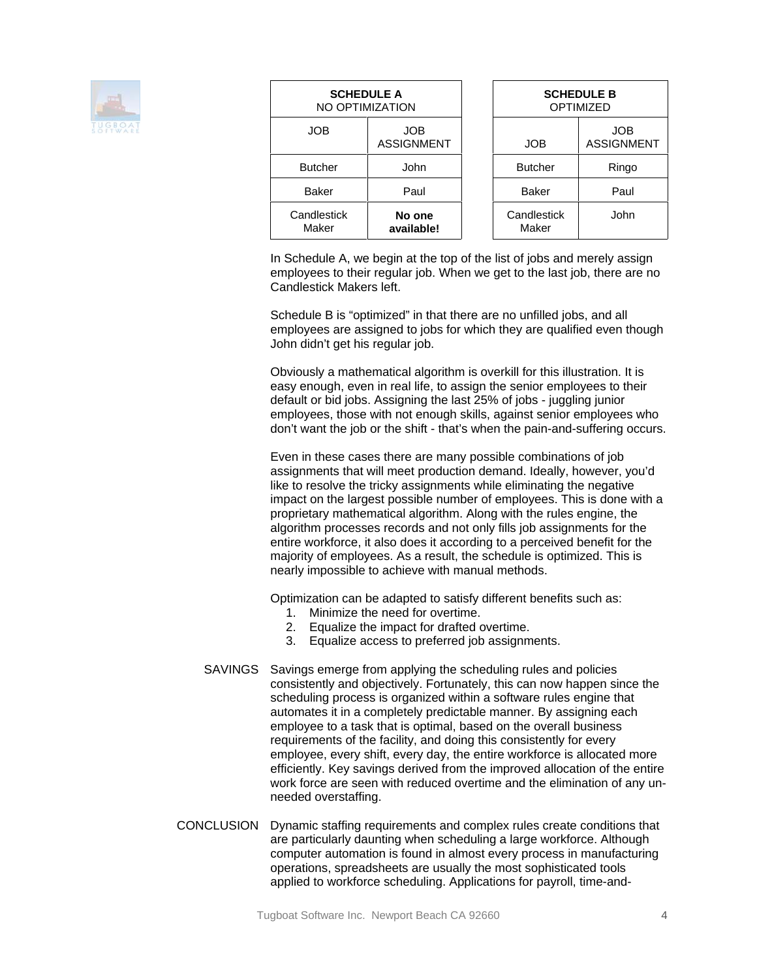

| <b>SCHEDULE A</b><br>NO OPTIMIZATION |                                 | <b>SCHEDULE B</b><br><b>OPTIMIZED</b> |                                 |
|--------------------------------------|---------------------------------|---------------------------------------|---------------------------------|
| <b>JOB</b>                           | <b>JOB</b><br><b>ASSIGNMENT</b> | <b>JOB</b>                            | <b>JOB</b><br><b>ASSIGNMENT</b> |
| <b>Butcher</b>                       | John                            | <b>Butcher</b>                        | Ringo                           |
| <b>Baker</b>                         | Paul                            | <b>Baker</b>                          | Paul                            |
| Candlestick<br>Maker                 | No one<br>available!            | Candlestick<br>Maker                  | John                            |

In Schedule A, we begin at the top of the list of jobs and merely assign employees to their regular job. When we get to the last job, there are no Candlestick Makers left.

Schedule B is "optimized" in that there are no unfilled jobs, and all employees are assigned to jobs for which they are qualified even though John didn't get his regular job.

Obviously a mathematical algorithm is overkill for this illustration. It is easy enough, even in real life, to assign the senior employees to their default or bid jobs. Assigning the last 25% of jobs - juggling junior employees, those with not enough skills, against senior employees who don't want the job or the shift - that's when the pain-and-suffering occurs.

Even in these cases there are many possible combinations of job assignments that will meet production demand. Ideally, however, you'd like to resolve the tricky assignments while eliminating the negative impact on the largest possible number of employees. This is done with a proprietary mathematical algorithm. Along with the rules engine, the algorithm processes records and not only fills job assignments for the entire workforce, it also does it according to a perceived benefit for the majority of employees. As a result, the schedule is optimized. This is nearly impossible to achieve with manual methods.

Optimization can be adapted to satisfy different benefits such as:

- 1. Minimize the need for overtime.
- 2. Equalize the impact for drafted overtime.
- 3. Equalize access to preferred job assignments.
- SAVINGS Savings emerge from applying the scheduling rules and policies consistently and objectively. Fortunately, this can now happen since the scheduling process is organized within a software rules engine that automates it in a completely predictable manner. By assigning each employee to a task that is optimal, based on the overall business requirements of the facility, and doing this consistently for every employee, every shift, every day, the entire workforce is allocated more efficiently. Key savings derived from the improved allocation of the entire work force are seen with reduced overtime and the elimination of any unneeded overstaffing.
- CONCLUSION Dynamic staffing requirements and complex rules create conditions that are particularly daunting when scheduling a large workforce. Although computer automation is found in almost every process in manufacturing operations, spreadsheets are usually the most sophisticated tools applied to workforce scheduling. Applications for payroll, time-and-